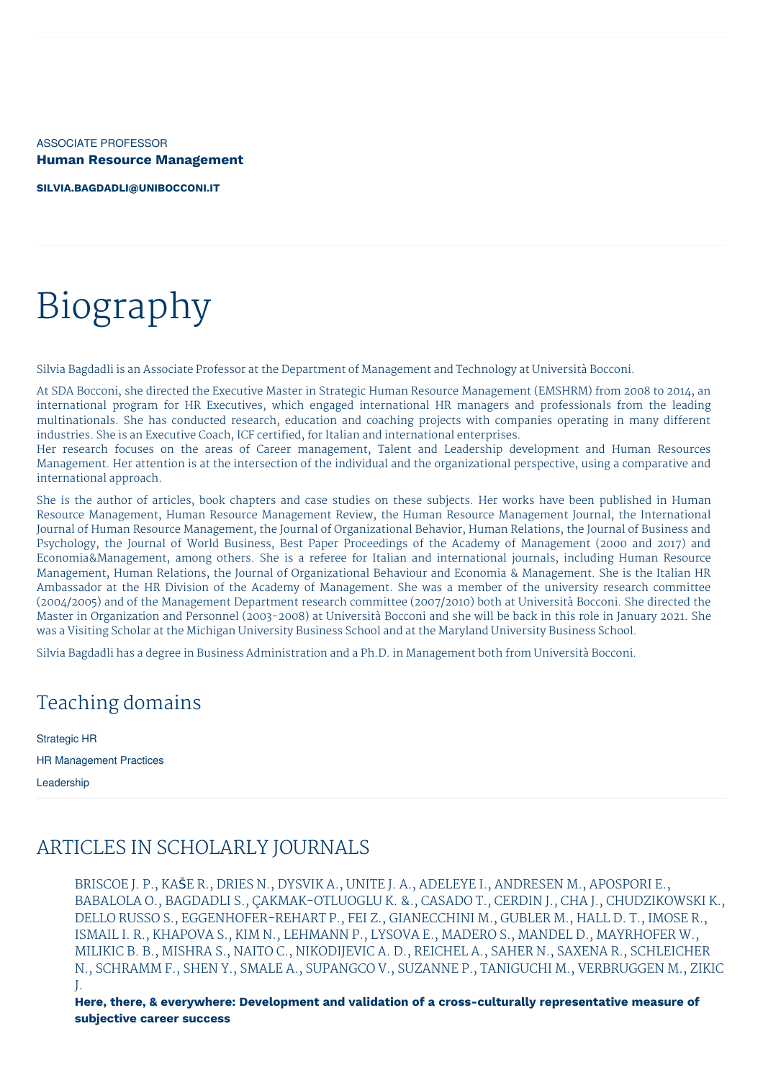ASSOCIATE PROFESSOR **Human Resource Management**

**[SILVIA.BAGDADLI@UNIBOCCONI.IT](mailto:silvia.bagdadli@unibocconi.it)**

# Biography

Silvia Bagdadli is an Associate Professor at the Department of Management and Technology at Università Bocconi.

At SDA Bocconi, she directed the Executive Master in Strategic Human Resource Management (EMSHRM) from 2008 to 2014, an international program for HR Executives, which engaged international HR managers and professionals from the leading multinationals. She has conducted research, education and coaching projects with companies operating in many different industries. She is an Executive Coach, ICF certified, for Italian and international enterprises.

Her research focuses on the areas of Career management, Talent and Leadership development and Human Resources Management. Her attention is at the intersection of the individual and the organizational perspective, using a comparative and international approach.

She is the author of articles, book chapters and case studies on these subjects. Her works have been published in Human Resource Management, Human Resource Management Review, the Human Resource Management Journal, the International Journal of Human Resource Management, the Journal of Organizational Behavior, Human Relations, the Journal of Business and Psychology, the Journal of World Business, Best Paper Proceedings of the Academy of Management (2000 and 2017) and Economia&Management, among others. She is a referee for Italian and international journals, including Human Resource Management, Human Relations, the Journal of Organizational Behaviour and Economia & Management. She is the Italian HR Ambassador at the HR Division of the Academy of Management. She was a member of the university research committee (2004/2005) and of the Management Department research committee (2007/2010) both at Università Bocconi. She directed the Master in Organization and Personnel (2003-2008) at Università Bocconi and she will be back in this role in January 2021. She was a Visiting Scholar at the Michigan University Business School and at the Maryland University Business School.

Silvia Bagdadli has a degree in Business Administration and a Ph.D. in Management both from Università Bocconi.

## Teaching domains

Strategic HR HR Management Practices

Leadership

## ARTICLES IN SCHOLARLY JOURNALS

BRISCOE J. P., KAŠE R., DRIES N., DYSVIK A., UNITE J. A., ADELEYE I., ANDRESEN M., APOSPORI E., BABALOLA O., BAGDADLI S., ÇAKMAK-OTLUOGLU K. &., CASADO T., CERDIN J., CHA J., CHUDZIKOWSKI K., DELLO RUSSO S., EGGENHOFER-REHART P., FEI Z., GIANECCHINI M., GUBLER M., HALL D. T., IMOSE R., ISMAIL I. R., KHAPOVA S., KIM N., LEHMANN P., LYSOVA E., MADERO S., MANDEL D., MAYRHOFER W., MILIKIC B. B., MISHRA S., NAITO C., NIKODIJEVIC A. D., REICHEL A., SAHER N., SAXENA R., SCHLEICHER N., SCHRAMM F., SHEN Y., SMALE A., SUPANGCO V., SUZANNE P., TANIGUCHI M., VERBRUGGEN M., ZIKIC J.

**Here, there, & everywhere: Development and validation of a cross-culturally representative measure of subjective career success**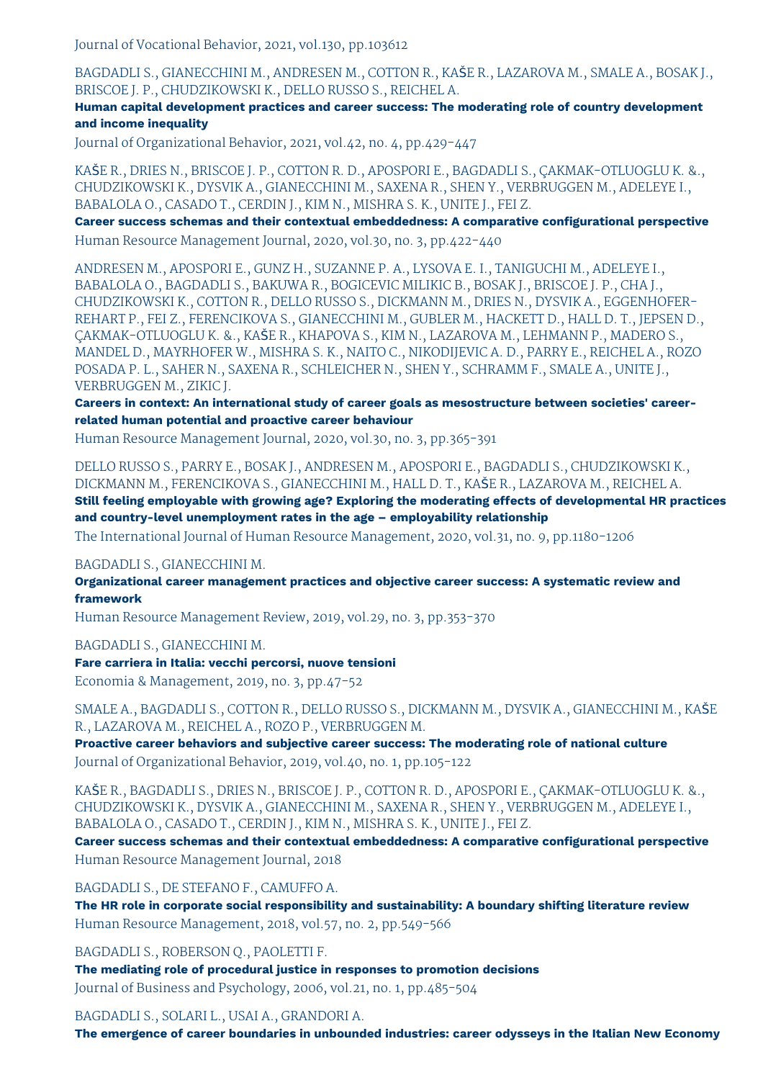Journal of Vocational Behavior, 2021, vol.130, pp.103612

BAGDADLI S., GIANECCHINI M., ANDRESEN M., COTTON R., KAŠE R., LAZAROVA M., SMALE A., BOSAK J., BRISCOE J. P., CHUDZIKOWSKI K., DELLO RUSSO S., REICHEL A.

**Human capital development practices and career success: The moderating role of country development and income inequality**

Journal of Organizational Behavior, 2021, vol.42, no. 4, pp.429-447

KAŠE R., DRIES N., BRISCOE J. P., COTTON R. D., APOSPORI E., BAGDADLI S., ÇAKMAK-OTLUOGLU K. &., CHUDZIKOWSKI K., DYSVIK A., GIANECCHINI M., SAXENA R., SHEN Y., VERBRUGGEN M., ADELEYE I., BABALOLA O., CASADO T., CERDIN J., KIM N., MISHRA S. K., UNITE J., FEI Z.

**Career success schemas and their contextual embeddedness: A comparative configurational perspective** Human Resource Management Journal, 2020, vol.30, no. 3, pp.422-440

ANDRESEN M., APOSPORI E., GUNZ H., SUZANNE P. A., LYSOVA E. I., TANIGUCHI M., ADELEYE I., BABALOLA O., BAGDADLI S., BAKUWA R., BOGICEVIC MILIKIC B., BOSAK J., BRISCOE J. P., CHA J., CHUDZIKOWSKI K., COTTON R., DELLO RUSSO S., DICKMANN M., DRIES N., DYSVIK A., EGGENHOFER-REHART P., FEI Z., FERENCIKOVA S., GIANECCHINI M., GUBLER M., HACKETT D., HALL D. T., JEPSEN D., ÇAKMAK-OTLUOGLU K. &., KAŠE R., KHAPOVA S., KIM N., LAZAROVA M., LEHMANN P., MADERO S., MANDEL D., MAYRHOFER W., MISHRA S. K., NAITO C., NIKODIJEVIC A. D., PARRY E., REICHEL A., ROZO POSADA P. L., SAHER N., SAXENA R., SCHLEICHER N., SHEN Y., SCHRAMM F., SMALE A., UNITE J., VERBRUGGEN M., ZIKIC J.

**Careers in context: An international study of career goals as mesostructure between societies' careerrelated human potential and proactive career behaviour**

Human Resource Management Journal, 2020, vol.30, no. 3, pp.365-391

DELLO RUSSO S., PARRY E., BOSAK J., ANDRESEN M., APOSPORI E., BAGDADLI S., CHUDZIKOWSKI K., DICKMANN M., FERENCIKOVA S., GIANECCHINI M., HALL D. T., KAŠE R., LAZAROVA M., REICHEL A.

**Still feeling employable with growing age? Exploring the moderating effects of developmental HR practices and country-level unemployment rates in the age – employability relationship**

The International Journal of Human Resource Management, 2020, vol.31, no. 9, pp.1180-1206

BAGDADLI S., GIANECCHINI M.

**Organizational career management practices and objective career success: A systematic review and framework**

Human Resource Management Review, 2019, vol.29, no. 3, pp.353-370

BAGDADLI S., GIANECCHINI M.

**Fare carriera in Italia: vecchi percorsi, nuove tensioni**

Economia & Management, 2019, no. 3, pp.47-52

SMALE A., BAGDADLI S., COTTON R., DELLO RUSSO S., DICKMANN M., DYSVIK A., GIANECCHINI M., KAŠE R., LAZAROVA M., REICHEL A., ROZO P., VERBRUGGEN M.

**Proactive career behaviors and subjective career success: The moderating role of national culture** Journal of Organizational Behavior, 2019, vol.40, no. 1, pp.105-122

KAŠE R., BAGDADLI S., DRIES N., BRISCOE J. P., COTTON R. D., APOSPORI E., ÇAKMAK-OTLUOGLU K. &., CHUDZIKOWSKI K., DYSVIK A., GIANECCHINI M., SAXENA R., SHEN Y., VERBRUGGEN M., ADELEYE I., BABALOLA O., CASADO T., CERDIN J., KIM N., MISHRA S. K., UNITE J., FEI Z.

**Career success schemas and their contextual embeddedness: A comparative configurational perspective** Human Resource Management Journal, 2018

BAGDADLI S., DE STEFANO F., CAMUFFO A.

**The HR role in corporate social responsibility and sustainability: A boundary shifting literature review** Human Resource Management, 2018, vol.57, no. 2, pp.549-566

BAGDADLI S., ROBERSON Q., PAOLETTI F.

**The mediating role of procedural justice in responses to promotion decisions** Journal of Business and Psychology, 2006, vol.21, no. 1, pp.485-504

BAGDADLI S., SOLARI L., USAI A., GRANDORI A.

**The emergence of career boundaries in unbounded industries: career odysseys in the Italian New Economy**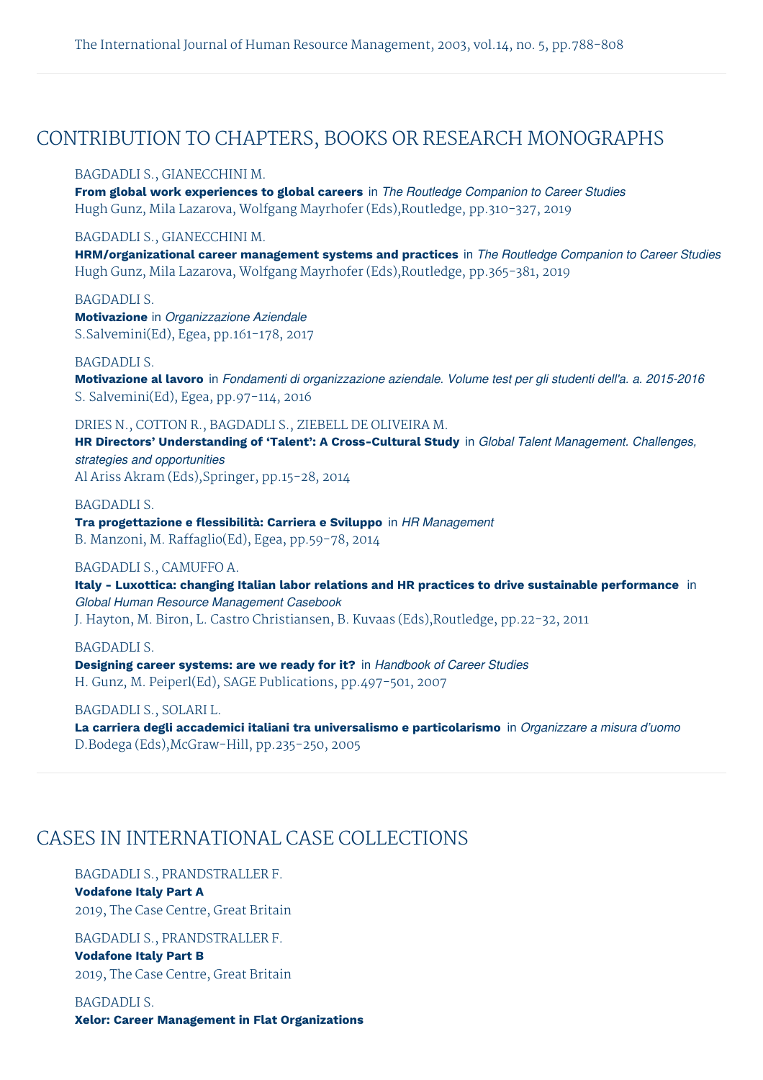### CONTRIBUTION TO CHAPTERS, BOOKS OR RESEARCH MONOGRAPHS

#### BAGDADLI S., GIANECCHINI M.

**From global work experiences to global careers** in *The Routledge Companion to Career Studies* Hugh Gunz, Mila Lazarova, Wolfgang Mayrhofer (Eds),Routledge, pp.310-327, 2019

#### BAGDADLI S., GIANECCHINI M.

**HRM/organizational career management systems and practices** in *The Routledge Companion to Career Studies* Hugh Gunz, Mila Lazarova, Wolfgang Mayrhofer (Eds),Routledge, pp.365-381, 2019

BAGDADLI S.

**Motivazione** in *Organizzazione Aziendale* S.Salvemini(Ed), Egea, pp.161-178, 2017

#### BAGDADLI S.

**Motivazione al lavoro** in *Fondamenti di organizzazione aziendale. Volume test per gli studenti dell'a. a. 2015-2016* S. Salvemini(Ed), Egea, pp.97-114, 2016

#### DRIES N., COTTON R., BAGDADLI S., ZIEBELL DE OLIVEIRA M.

**HR Directors' Understanding of 'Talent': A Cross-Cultural Study** in *Global Talent Management. Challenges, strategies and opportunities* Al Ariss Akram (Eds),Springer, pp.15-28, 2014

BAGDADLI S. **Tra progettazione e flessibilità: Carriera e Sviluppo** in *HR Management* B. Manzoni, M. Raffaglio(Ed), Egea, pp.59-78, 2014

#### BAGDADLI S., CAMUFFO A.

**Italy - Luxottica: changing Italian labor relations and HR practices to drive sustainable performance** in *Global Human Resource Management Casebook* J. Hayton, M. Biron, L. Castro Christiansen, B. Kuvaas (Eds),Routledge, pp.22-32, 2011

#### BAGDADLI S.

**Designing career systems: are we ready for it?** in *Handbook of Career Studies* H. Gunz, M. Peiperl(Ed), SAGE Publications, pp.497-501, 2007

#### BAGDADLI S., SOLARI L.

**La carriera degli accademici italiani tra universalismo e particolarismo** in *Organizzare a misura d'uomo* D.Bodega (Eds),McGraw-Hill, pp.235-250, 2005

## CASES IN INTERNATIONAL CASE COLLECTIONS

#### BAGDADLI S., PRANDSTRALLER F.

**Vodafone Italy Part A** 2019, The Case Centre, Great Britain

BAGDADLI S., PRANDSTRALLER F. **Vodafone Italy Part B** 2019, The Case Centre, Great Britain

BAGDADLI S. **Xelor: Career Management in Flat Organizations**